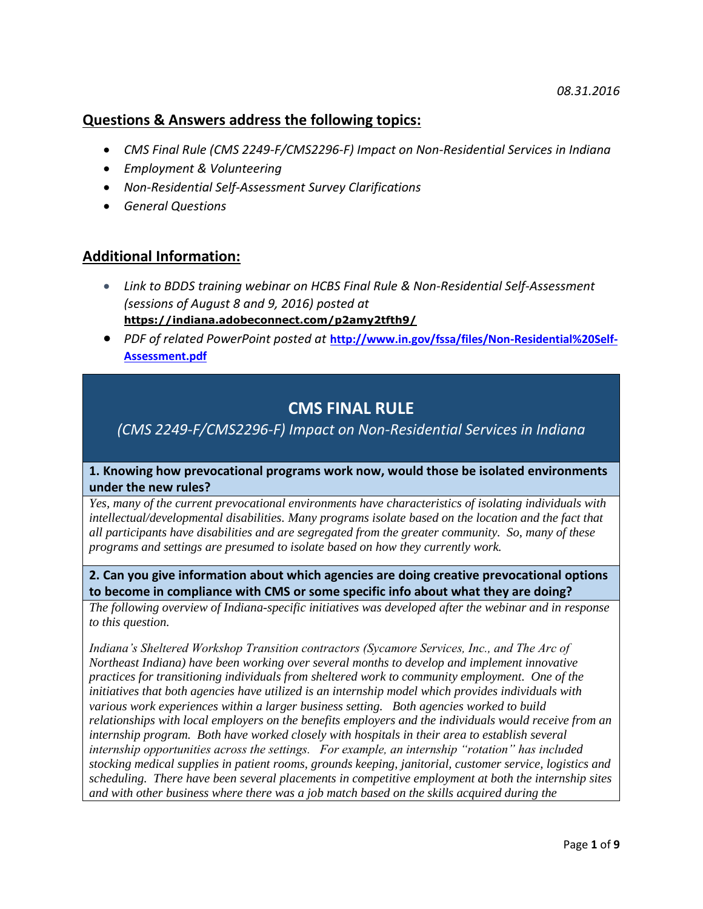# **Questions & Answers address the following topics:**

- *CMS Final Rule (CMS 2249-F/CMS2296-F) Impact on Non-Residential Services in Indiana*
- *Employment & Volunteering*
- *Non-Residential Self-Assessment Survey Clarifications*
- *General Questions*

# **Additional Information:**

- *Link to BDDS training webinar on HCBS Final Rule & Non-Residential Self-Assessment (sessions of August 8 and 9, 2016) posted at*  **[https://indiana.adobeconnect.com/p2amy2tfth9/](https://indiana.adobeconnect.com/p2amy2tfth9/?OWASP_CSRFTOKEN=bda28836bb310c21e3cab73b2a99a9503436f3492ab2f99f308125a4dc339fc1)**
- *PDF of related PowerPoint posted at* **[http://www.in.gov/fssa/files/Non-Residential%20Self-](http://www.in.gov/fssa/files/Non-Residential%20Self-Assessment.pdf)[Assessment.pdf](http://www.in.gov/fssa/files/Non-Residential%20Self-Assessment.pdf)**

# **CMS FINAL RULE**

# *(CMS 2249-F/CMS2296-F) Impact on Non-Residential Services in Indiana*

# **1. Knowing how prevocational programs work now, would those be isolated environments under the new rules?**

*Yes, many of the current prevocational environments have characteristics of isolating individuals with intellectual/developmental disabilities. Many programs isolate based on the location and the fact that all participants have disabilities and are segregated from the greater community. So, many of these programs and settings are presumed to isolate based on how they currently work.*

# **2. Can you give information about which agencies are doing creative prevocational options to become in compliance with CMS or some specific info about what they are doing?**

*The following overview of Indiana-specific initiatives was developed after the webinar and in response to this question.*

*Indiana's Sheltered Workshop Transition contractors (Sycamore Services, Inc., and The Arc of Northeast Indiana) have been working over several months to develop and implement innovative practices for transitioning individuals from sheltered work to community employment. One of the initiatives that both agencies have utilized is an internship model which provides individuals with various work experiences within a larger business setting. Both agencies worked to build relationships with local employers on the benefits employers and the individuals would receive from an internship program. Both have worked closely with hospitals in their area to establish several internship opportunities across the settings. For example, an internship "rotation" has included stocking medical supplies in patient rooms, grounds keeping, janitorial, customer service, logistics and scheduling. There have been several placements in competitive employment at both the internship sites and with other business where there was a job match based on the skills acquired during the*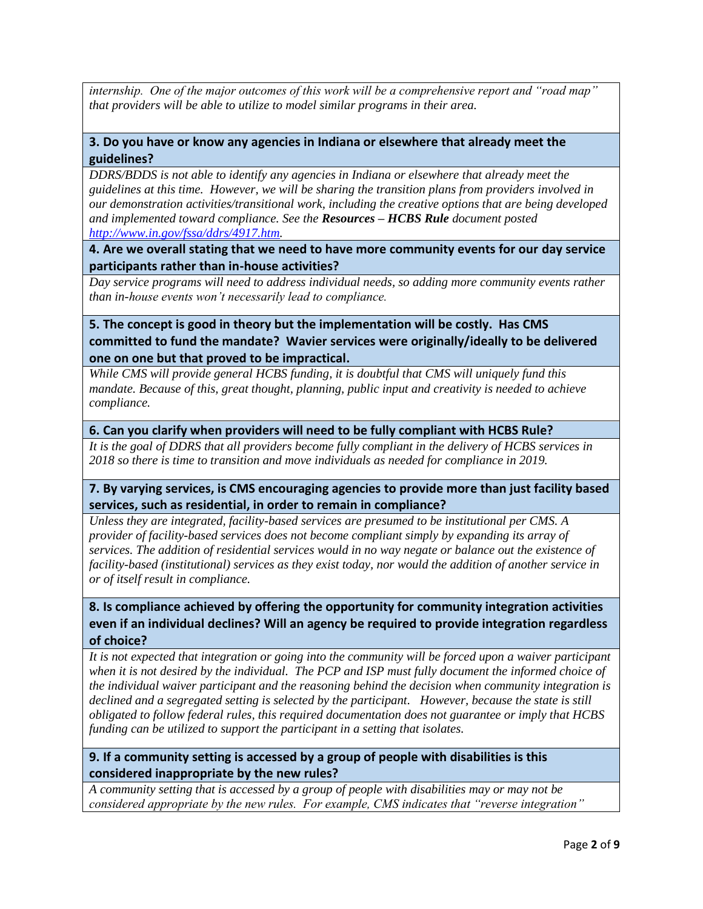*internship. One of the major outcomes of this work will be a comprehensive report and "road map" that providers will be able to utilize to model similar programs in their area.*

## **3. Do you have or know any agencies in Indiana or elsewhere that already meet the guidelines?**

*DDRS/BDDS is not able to identify any agencies in Indiana or elsewhere that already meet the guidelines at this time. However, we will be sharing the transition plans from providers involved in our demonstration activities/transitional work, including the creative options that are being developed and implemented toward compliance. See the Resources – HCBS Rule document posted [http://www.in.gov/fssa/ddrs/4917.htm.](http://www.in.gov/fssa/ddrs/4917.htm)* 

**4. Are we overall stating that we need to have more community events for our day service participants rather than in-house activities?**

*Day service programs will need to address individual needs, so adding more community events rather than in-house events won't necessarily lead to compliance.* 

# **5. The concept is good in theory but the implementation will be costly. Has CMS committed to fund the mandate? Wavier services were originally/ideally to be delivered one on one but that proved to be impractical.**

*While CMS will provide general HCBS funding, it is doubtful that CMS will uniquely fund this mandate. Because of this, great thought, planning, public input and creativity is needed to achieve compliance.*

**6. Can you clarify when providers will need to be fully compliant with HCBS Rule?**

*It is the goal of DDRS that all providers become fully compliant in the delivery of HCBS services in 2018 so there is time to transition and move individuals as needed for compliance in 2019.* 

**7. By varying services, is CMS encouraging agencies to provide more than just facility based services, such as residential, in order to remain in compliance?**

*Unless they are integrated, facility-based services are presumed to be institutional per CMS. A provider of facility-based services does not become compliant simply by expanding its array of services. The addition of residential services would in no way negate or balance out the existence of facility-based (institutional) services as they exist today, nor would the addition of another service in or of itself result in compliance.* 

# **8. Is compliance achieved by offering the opportunity for community integration activities even if an individual declines? Will an agency be required to provide integration regardless of choice?**

*It is not expected that integration or going into the community will be forced upon a waiver participant when it is not desired by the individual. The PCP and ISP must fully document the informed choice of the individual waiver participant and the reasoning behind the decision when community integration is declined and a segregated setting is selected by the participant. However, because the state is still obligated to follow federal rules, this required documentation does not guarantee or imply that HCBS funding can be utilized to support the participant in a setting that isolates.* 

# **9. If a community setting is accessed by a group of people with disabilities is this considered inappropriate by the new rules?**

*A community setting that is accessed by a group of people with disabilities may or may not be considered appropriate by the new rules. For example, CMS indicates that "reverse integration"*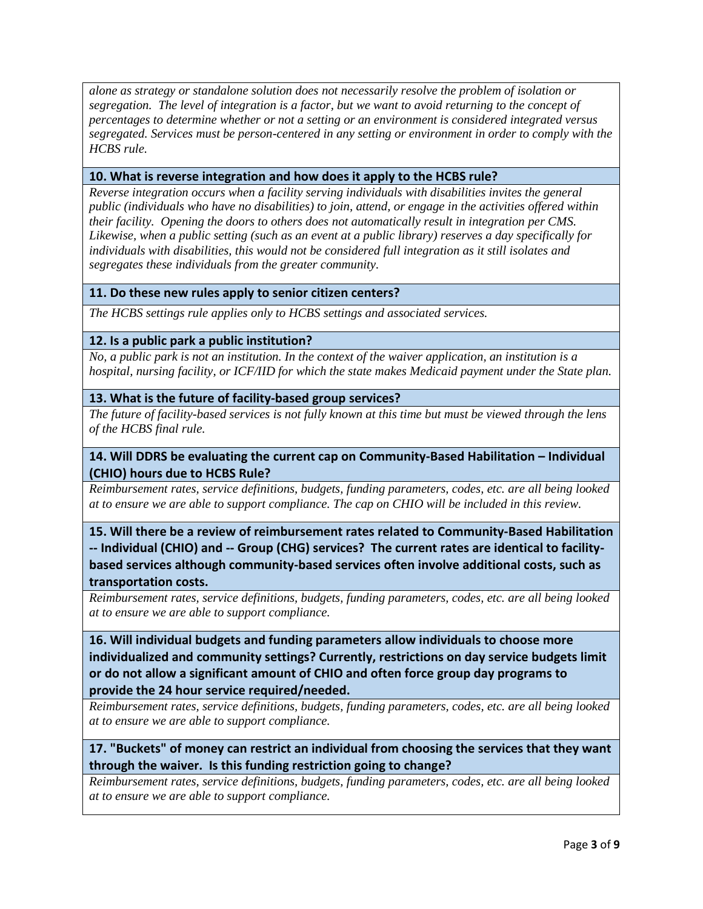*alone as strategy or standalone solution does not necessarily resolve the problem of isolation or segregation. The level of integration is a factor, but we want to avoid returning to the concept of percentages to determine whether or not a setting or an environment is considered integrated versus segregated. Services must be person-centered in any setting or environment in order to comply with the HCBS rule.* 

### **10. What is reverse integration and how does it apply to the HCBS rule?**

*Reverse integration occurs when a facility serving individuals with disabilities invites the general public (individuals who have no disabilities) to join, attend, or engage in the activities offered within their facility. Opening the doors to others does not automatically result in integration per CMS. Likewise, when a public setting (such as an event at a public library) reserves a day specifically for individuals with disabilities, this would not be considered full integration as it still isolates and segregates these individuals from the greater community.* 

#### **11. Do these new rules apply to senior citizen centers?**

*The HCBS settings rule applies only to HCBS settings and associated services.*

#### **12. Is a public park a public institution?**

*No, a public park is not an institution. In the context of the waiver application, an institution is a hospital, nursing facility, or ICF/IID for which the state makes Medicaid payment under the State plan.* 

#### **13. What is the future of facility-based group services?**

*The future of facility-based services is not fully known at this time but must be viewed through the lens of the HCBS final rule.* 

# 14. Will DDRS be evaluating the current cap on Community-Based Habilitation - Individual **(CHIO) hours due to HCBS Rule?**

*Reimbursement rates, service definitions, budgets, funding parameters, codes, etc. are all being looked at to ensure we are able to support compliance. The cap on CHIO will be included in this review.*

# **15. Will there be a review of reimbursement rates related to Community-Based Habilitation -- Individual (CHIO) and -- Group (CHG) services? The current rates are identical to facilitybased services although community-based services often involve additional costs, such as transportation costs.**

*Reimbursement rates, service definitions, budgets, funding parameters, codes, etc. are all being looked at to ensure we are able to support compliance.*

**16. Will individual budgets and funding parameters allow individuals to choose more individualized and community settings? Currently, restrictions on day service budgets limit or do not allow a significant amount of CHIO and often force group day programs to provide the 24 hour service required/needed.**

*Reimbursement rates, service definitions, budgets, funding parameters, codes, etc. are all being looked at to ensure we are able to support compliance.*

# **17. "Buckets" of money can restrict an individual from choosing the services that they want through the waiver. Is this funding restriction going to change?**

*Reimbursement rates, service definitions, budgets, funding parameters, codes, etc. are all being looked at to ensure we are able to support compliance.*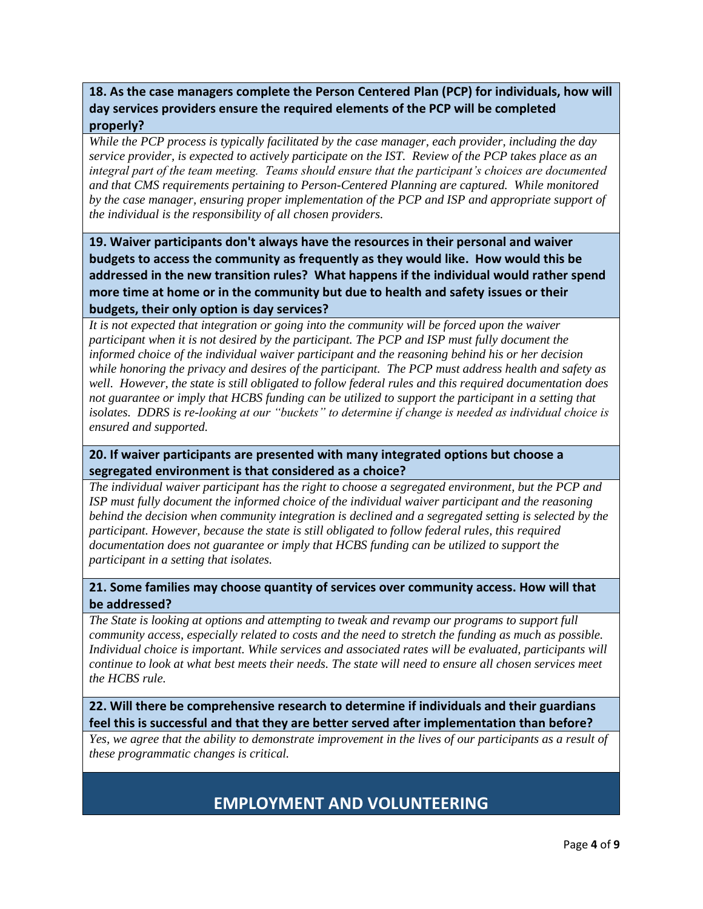# **18. As the case managers complete the Person Centered Plan (PCP) for individuals, how will day services providers ensure the required elements of the PCP will be completed properly?**

## *While the PCP process is typically facilitated by the case manager, each provider, including the day service provider, is expected to actively participate on the IST. Review of the PCP takes place as an integral part of the team meeting. Teams should ensure that the participant's choices are documented and that CMS requirements pertaining to Person-Centered Planning are captured. While monitored by the case manager, ensuring proper implementation of the PCP and ISP and appropriate support of the individual is the responsibility of all chosen providers.*

**19. Waiver participants don't always have the resources in their personal and waiver budgets to access the community as frequently as they would like. How would this be addressed in the new transition rules? What happens if the individual would rather spend more time at home or in the community but due to health and safety issues or their budgets, their only option is day services?**

*It is not expected that integration or going into the community will be forced upon the waiver participant when it is not desired by the participant. The PCP and ISP must fully document the informed choice of the individual waiver participant and the reasoning behind his or her decision while honoring the privacy and desires of the participant. The PCP must address health and safety as well. However, the state is still obligated to follow federal rules and this required documentation does not guarantee or imply that HCBS funding can be utilized to support the participant in a setting that isolates. DDRS is re-looking at our "buckets" to determine if change is needed as individual choice is ensured and supported.*

# **20. If waiver participants are presented with many integrated options but choose a segregated environment is that considered as a choice?**

*The individual waiver participant has the right to choose a segregated environment, but the PCP and ISP must fully document the informed choice of the individual waiver participant and the reasoning behind the decision when community integration is declined and a segregated setting is selected by the participant. However, because the state is still obligated to follow federal rules, this required documentation does not guarantee or imply that HCBS funding can be utilized to support the participant in a setting that isolates.*

## **21. Some families may choose quantity of services over community access. How will that be addressed?**

*The State is looking at options and attempting to tweak and revamp our programs to support full community access, especially related to costs and the need to stretch the funding as much as possible. Individual choice is important. While services and associated rates will be evaluated, participants will continue to look at what best meets their needs. The state will need to ensure all chosen services meet the HCBS rule.*

**22. Will there be comprehensive research to determine if individuals and their guardians feel this is successful and that they are better served after implementation than before?** 

*Yes, we agree that the ability to demonstrate improvement in the lives of our participants as a result of these programmatic changes is critical.*

# **EMPLOYMENT AND VOLUNTEERING**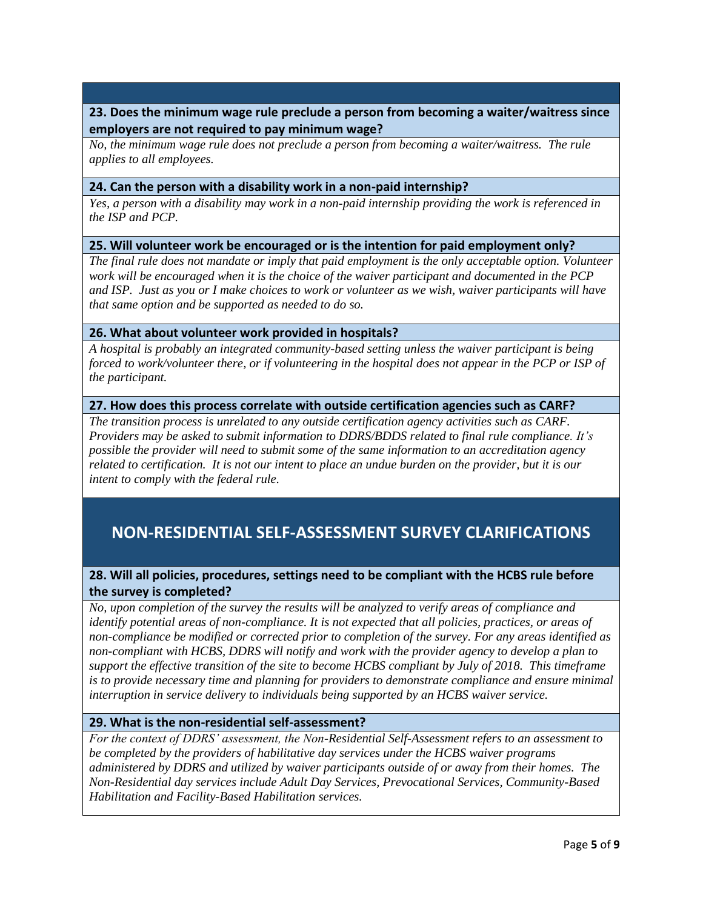# **23. Does the minimum wage rule preclude a person from becoming a waiter/waitress since employers are not required to pay minimum wage?**

*No, the minimum wage rule does not preclude a person from becoming a waiter/waitress. The rule applies to all employees.*

#### **24. Can the person with a disability work in a non-paid internship?**

*Yes, a person with a disability may work in a non-paid internship providing the work is referenced in the ISP and PCP.*

#### **25. Will volunteer work be encouraged or is the intention for paid employment only?**

*The final rule does not mandate or imply that paid employment is the only acceptable option. Volunteer work will be encouraged when it is the choice of the waiver participant and documented in the PCP and ISP. Just as you or I make choices to work or volunteer as we wish, waiver participants will have that same option and be supported as needed to do so.* 

#### **26. What about volunteer work provided in hospitals?**

*A hospital is probably an integrated community-based setting unless the waiver participant is being forced to work/volunteer there, or if volunteering in the hospital does not appear in the PCP or ISP of the participant.* 

#### **27. How does this process correlate with outside certification agencies such as CARF?**

*The transition process is unrelated to any outside certification agency activities such as CARF. Providers may be asked to submit information to DDRS/BDDS related to final rule compliance. It's possible the provider will need to submit some of the same information to an accreditation agency related to certification. It is not our intent to place an undue burden on the provider, but it is our intent to comply with the federal rule.* 

# **NON-RESIDENTIAL SELF-ASSESSMENT SURVEY CLARIFICATIONS**

# **28. Will all policies, procedures, settings need to be compliant with the HCBS rule before the survey is completed?**

*No, upon completion of the survey the results will be analyzed to verify areas of compliance and identify potential areas of non-compliance. It is not expected that all policies, practices, or areas of non-compliance be modified or corrected prior to completion of the survey. For any areas identified as non-compliant with HCBS, DDRS will notify and work with the provider agency to develop a plan to support the effective transition of the site to become HCBS compliant by July of 2018. This timeframe is to provide necessary time and planning for providers to demonstrate compliance and ensure minimal interruption in service delivery to individuals being supported by an HCBS waiver service.*

## **29. What is the non-residential self-assessment?**

*For the context of DDRS' assessment, the Non-Residential Self-Assessment refers to an assessment to be completed by the providers of habilitative day services under the HCBS waiver programs administered by DDRS and utilized by waiver participants outside of or away from their homes. The Non-Residential day services include Adult Day Services, Prevocational Services, Community-Based Habilitation and Facility-Based Habilitation services.*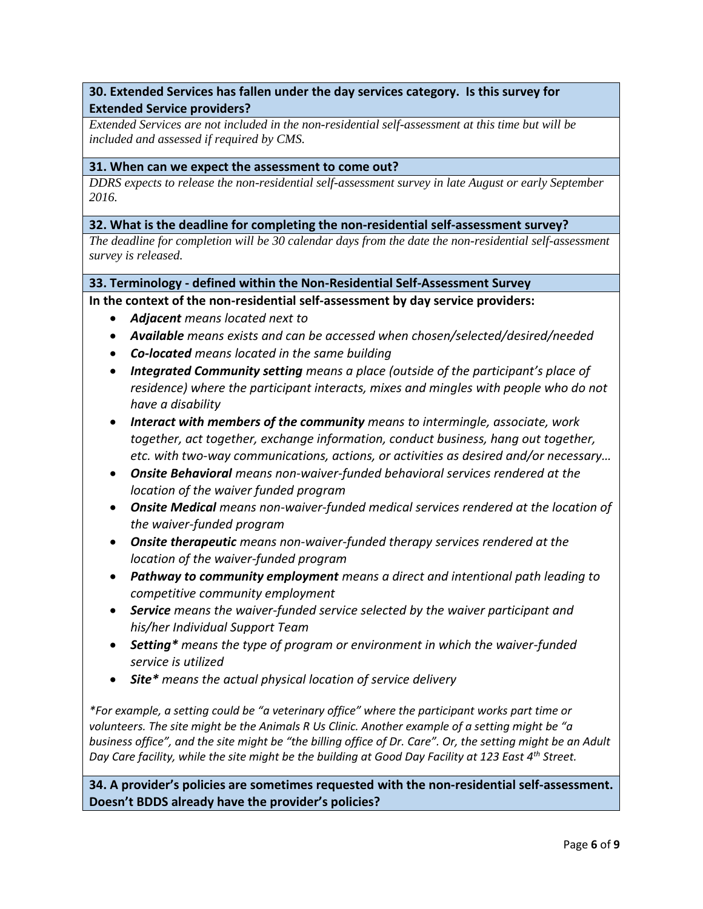# **30. Extended Services has fallen under the day services category. Is this survey for Extended Service providers?**

*Extended Services are not included in the non-residential self-assessment at this time but will be included and assessed if required by CMS.* 

### **31. When can we expect the assessment to come out?**

*DDRS expects to release the non-residential self-assessment survey in late August or early September 2016.*

### **32. What is the deadline for completing the non-residential self-assessment survey?**

*The deadline for completion will be 30 calendar days from the date the non-residential self-assessment survey is released.* 

## **33. Terminology - defined within the Non-Residential Self-Assessment Survey**

**In the context of the non-residential self-assessment by day service providers:**

- *Adjacent means located next to*
- *Available means exists and can be accessed when chosen/selected/desired/needed*
- *Co-located means located in the same building*
- *Integrated Community setting means a place (outside of the participant's place of residence) where the participant interacts, mixes and mingles with people who do not have a disability*
- *Interact with members of the community means to intermingle, associate, work together, act together, exchange information, conduct business, hang out together, etc. with two-way communications, actions, or activities as desired and/or necessary…*
- *Onsite Behavioral means non-waiver-funded behavioral services rendered at the location of the waiver funded program*
- *Onsite Medical means non-waiver-funded medical services rendered at the location of the waiver-funded program*
- *Onsite therapeutic means non-waiver-funded therapy services rendered at the location of the waiver-funded program*
- *Pathway to community employment means a direct and intentional path leading to competitive community employment*
- *Service means the waiver-funded service selected by the waiver participant and his/her Individual Support Team*
- *Setting\* means the type of program or environment in which the waiver-funded service is utilized*
- *Site\* means the actual physical location of service delivery*

*\*For example, a setting could be "a veterinary office" where the participant works part time or volunteers. The site might be the Animals R Us Clinic. Another example of a setting might be "a business office", and the site might be "the billing office of Dr. Care". Or, the setting might be an Adult Day Care facility, while the site might be the building at Good Day Facility at 123 East 4th Street.*

**34. A provider's policies are sometimes requested with the non-residential self-assessment. Doesn't BDDS already have the provider's policies?**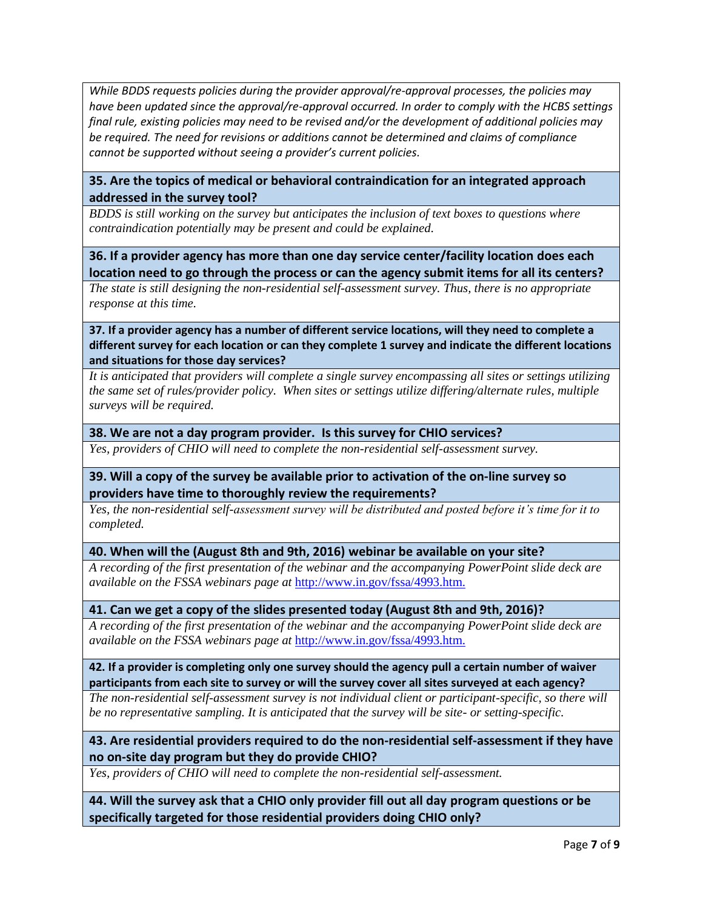*While BDDS requests policies during the provider approval/re-approval processes, the policies may have been updated since the approval/re-approval occurred. In order to comply with the HCBS settings final rule, existing policies may need to be revised and/or the development of additional policies may be required. The need for revisions or additions cannot be determined and claims of compliance cannot be supported without seeing a provider's current policies.*

# **35. Are the topics of medical or behavioral contraindication for an integrated approach addressed in the survey tool?**

*BDDS is still working on the survey but anticipates the inclusion of text boxes to questions where contraindication potentially may be present and could be explained.* 

**36. If a provider agency has more than one day service center/facility location does each location need to go through the process or can the agency submit items for all its centers?**

*The state is still designing the non-residential self-assessment survey. Thus, there is no appropriate response at this time.* 

**37. If a provider agency has a number of different service locations, will they need to complete a different survey for each location or can they complete 1 survey and indicate the different locations and situations for those day services?**

*It is anticipated that providers will complete a single survey encompassing all sites or settings utilizing the same set of rules/provider policy. When sites or settings utilize differing/alternate rules, multiple surveys will be required.* 

### **38. We are not a day program provider. Is this survey for CHIO services?**

*Yes, providers of CHIO will need to complete the non-residential self-assessment survey.*

## **39. Will a copy of the survey be available prior to activation of the on-line survey so providers have time to thoroughly review the requirements?**

*Yes, the non-residential self-assessment survey will be distributed and posted before it's time for it to completed.* 

**40. When will the (August 8th and 9th, 2016) webinar be available on your site?**

*A recording of the first presentation of the webinar and the accompanying PowerPoint slide deck are available on the FSSA webinars page at* [http://www.in.gov/fssa/4993.htm.](http://www.in.gov/fssa/4993.htm)

## **41. Can we get a copy of the slides presented today (August 8th and 9th, 2016)?**

*A recording of the first presentation of the webinar and the accompanying PowerPoint slide deck are available on the FSSA webinars page at* [http://www.in.gov/fssa/4993.htm.](http://www.in.gov/fssa/4993.htm)

**42. If a provider is completing only one survey should the agency pull a certain number of waiver participants from each site to survey or will the survey cover all sites surveyed at each agency?**

*The non-residential self-assessment survey is not individual client or participant-specific, so there will be no representative sampling. It is anticipated that the survey will be site- or setting-specific.* 

# **43. Are residential providers required to do the non-residential self-assessment if they have no on-site day program but they do provide CHIO?**

*Yes, providers of CHIO will need to complete the non-residential self-assessment.*

**44. Will the survey ask that a CHIO only provider fill out all day program questions or be specifically targeted for those residential providers doing CHIO only?**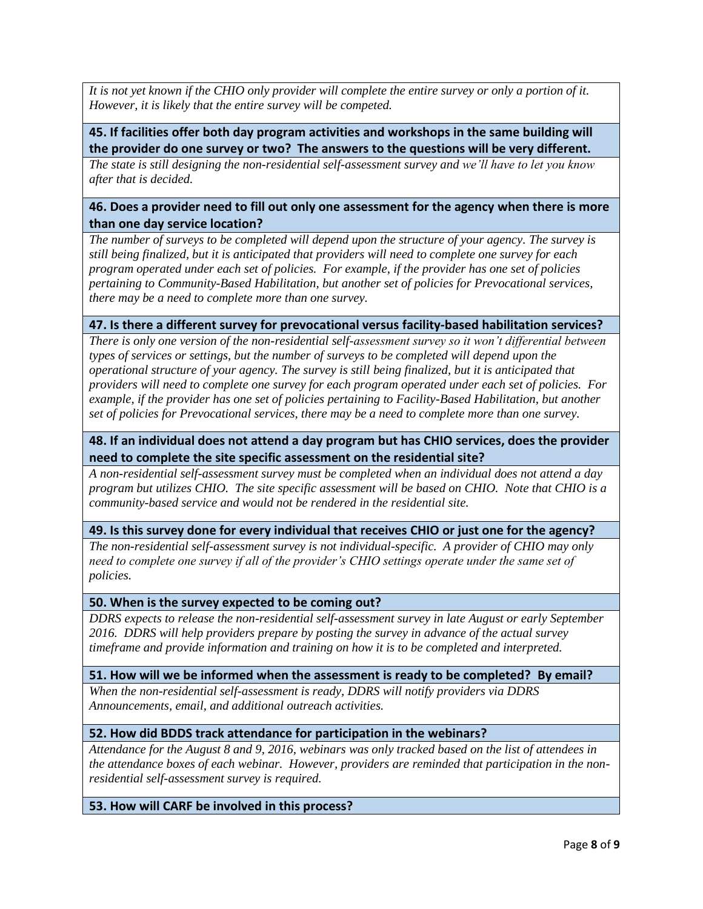*It is not yet known if the CHIO only provider will complete the entire survey or only a portion of it. However, it is likely that the entire survey will be competed.*

## **45. If facilities offer both day program activities and workshops in the same building will the provider do one survey or two? The answers to the questions will be very different.**

*The state is still designing the non-residential self-assessment survey and we'll have to let you know after that is decided.* 

## **46. Does a provider need to fill out only one assessment for the agency when there is more than one day service location?**

*The number of surveys to be completed will depend upon the structure of your agency. The survey is still being finalized, but it is anticipated that providers will need to complete one survey for each program operated under each set of policies. For example, if the provider has one set of policies pertaining to Community-Based Habilitation, but another set of policies for Prevocational services, there may be a need to complete more than one survey.* 

## **47. Is there a different survey for prevocational versus facility-based habilitation services?**

*There is only one version of the non-residential self-assessment survey so it won't differential between types of services or settings, but the number of surveys to be completed will depend upon the operational structure of your agency. The survey is still being finalized, but it is anticipated that providers will need to complete one survey for each program operated under each set of policies. For example, if the provider has one set of policies pertaining to Facility-Based Habilitation, but another set of policies for Prevocational services, there may be a need to complete more than one survey.* 

## **48. If an individual does not attend a day program but has CHIO services, does the provider need to complete the site specific assessment on the residential site?**

*A non-residential self-assessment survey must be completed when an individual does not attend a day program but utilizes CHIO. The site specific assessment will be based on CHIO. Note that CHIO is a community-based service and would not be rendered in the residential site.* 

#### **49. Is this survey done for every individual that receives CHIO or just one for the agency?**

*The non-residential self-assessment survey is not individual-specific. A provider of CHIO may only need to complete one survey if all of the provider's CHIO settings operate under the same set of policies.* 

#### **50. When is the survey expected to be coming out?**

*DDRS expects to release the non-residential self-assessment survey in late August or early September 2016. DDRS will help providers prepare by posting the survey in advance of the actual survey timeframe and provide information and training on how it is to be completed and interpreted.*

#### **51. How will we be informed when the assessment is ready to be completed? By email?**

*When the non-residential self-assessment is ready, DDRS will notify providers via DDRS Announcements, email, and additional outreach activities.*

## **52. How did BDDS track attendance for participation in the webinars?**

*Attendance for the August 8 and 9, 2016, webinars was only tracked based on the list of attendees in the attendance boxes of each webinar. However, providers are reminded that participation in the nonresidential self-assessment survey is required.*

## **53. How will CARF be involved in this process?**